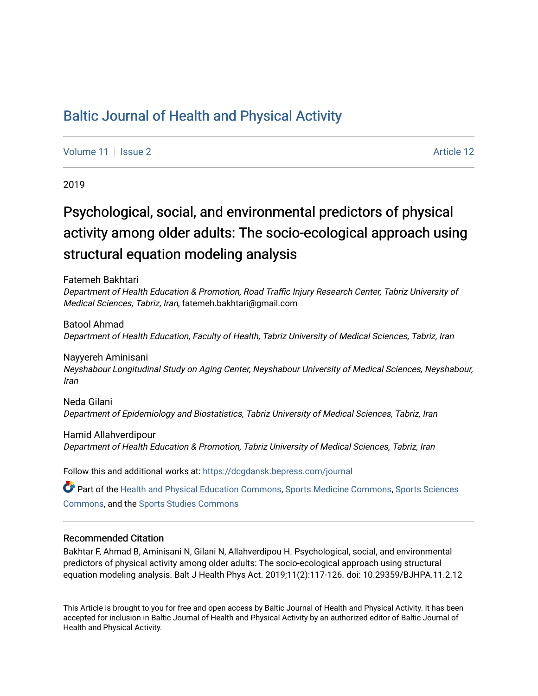# [Baltic Journal of Health and Physical Activity](https://dcgdansk.bepress.com/journal)

[Volume 11](https://dcgdansk.bepress.com/journal/vol11) | [Issue 2](https://dcgdansk.bepress.com/journal/vol11/iss2) Article 12

2019

# Psychological, social, and environmental predictors of physical activity among older adults: The socio-ecological approach using structural equation modeling analysis

Fatemeh Bakhtari Department of Health Education & Promotion, Road Traffic Injury Research Center, Tabriz University of Medical Sciences, Tabriz, Iran, fatemeh.bakhtari@gmail.com

Batool Ahmad Department of Health Education, Faculty of Health, Tabriz University of Medical Sciences, Tabriz, Iran

Nayyereh Aminisani Neyshabour Longitudinal Study on Aging Center, Neyshabour University of Medical Sciences, Neyshabour, Iran

Neda Gilani Department of Epidemiology and Biostatistics, Tabriz University of Medical Sciences, Tabriz, Iran

Hamid Allahverdipour Department of Health Education & Promotion, Tabriz University of Medical Sciences, Tabriz, Iran

Follow this and additional works at: [https://dcgdansk.bepress.com/journal](https://dcgdansk.bepress.com/journal?utm_source=dcgdansk.bepress.com%2Fjournal%2Fvol11%2Fiss2%2F12&utm_medium=PDF&utm_campaign=PDFCoverPages)

Part of the [Health and Physical Education Commons](http://network.bepress.com/hgg/discipline/1327?utm_source=dcgdansk.bepress.com%2Fjournal%2Fvol11%2Fiss2%2F12&utm_medium=PDF&utm_campaign=PDFCoverPages), [Sports Medicine Commons,](http://network.bepress.com/hgg/discipline/1331?utm_source=dcgdansk.bepress.com%2Fjournal%2Fvol11%2Fiss2%2F12&utm_medium=PDF&utm_campaign=PDFCoverPages) [Sports Sciences](http://network.bepress.com/hgg/discipline/759?utm_source=dcgdansk.bepress.com%2Fjournal%2Fvol11%2Fiss2%2F12&utm_medium=PDF&utm_campaign=PDFCoverPages) [Commons](http://network.bepress.com/hgg/discipline/759?utm_source=dcgdansk.bepress.com%2Fjournal%2Fvol11%2Fiss2%2F12&utm_medium=PDF&utm_campaign=PDFCoverPages), and the [Sports Studies Commons](http://network.bepress.com/hgg/discipline/1198?utm_source=dcgdansk.bepress.com%2Fjournal%2Fvol11%2Fiss2%2F12&utm_medium=PDF&utm_campaign=PDFCoverPages) 

#### Recommended Citation

Bakhtar F, Ahmad B, Aminisani N, Gilani N, Allahverdipou H. Psychological, social, and environmental predictors of physical activity among older adults: The socio-ecological approach using structural equation modeling analysis. Balt J Health Phys Act. 2019;11(2):117-126. doi: 10.29359/BJHPA.11.2.12

This Article is brought to you for free and open access by Baltic Journal of Health and Physical Activity. It has been accepted for inclusion in Baltic Journal of Health and Physical Activity by an authorized editor of Baltic Journal of Health and Physical Activity.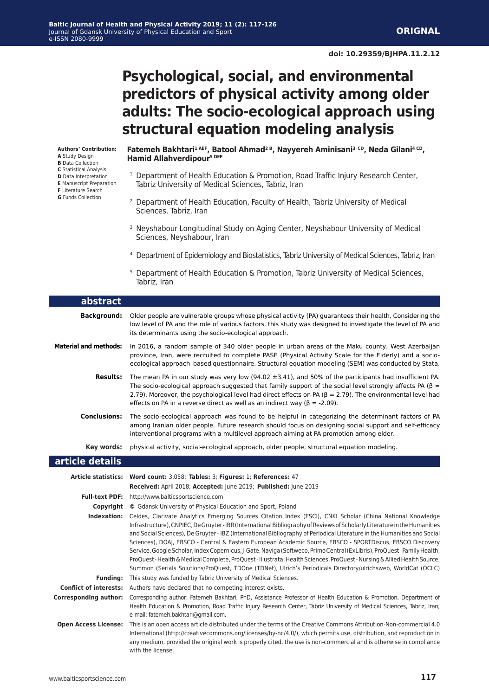# **Psychological, social, and environmental predictors of physical activity among older adults: The socio-ecological approach using structural equation modeling analysis**

**Authors' Contribution:**

- **A** Study Design **B** Data Collection
- **C** Statistical Analysis **D** Data Interpretation
- 
- **F** Literature Search
- **G** Funds Collection

Fatemeh Bakhtari<sup>1 AEF</sup>, Batool Ahmad<sup>2 B</sup>, Nayyereh Aminisani<sup>3 CD</sup>, Neda Gilani<sup>4 CD</sup>, **Hamid Allahverdipour5 DEF**

- <sup>1</sup> Department of Health Education & Promotion, Road Traffic Injury Research Center, Tabriz University of Medical Sciences, Tabriz, Iran
- <sup>2</sup> Department of Health Education, Faculty of Health, Tabriz University of Medical Sciences, Tabriz, Iran
- <sup>3</sup> Neyshabour Longitudinal Study on Aging Center, Neyshabour University of Medical Sciences, Neyshabour, Iran
- 4 Department of Epidemiology and Biostatistics, Tabriz University of Medical Sciences, Tabriz, Iran
- <sup>5</sup> Department of Health Education & Promotion, Tabriz University of Medical Sciences, Tabriz, Iran

| abstract                     |                                                                                                                                                                                                                                                                                                                                                                                                                                                                                                                                                                                                                                                                                                                                                                                                                                                  |
|------------------------------|--------------------------------------------------------------------------------------------------------------------------------------------------------------------------------------------------------------------------------------------------------------------------------------------------------------------------------------------------------------------------------------------------------------------------------------------------------------------------------------------------------------------------------------------------------------------------------------------------------------------------------------------------------------------------------------------------------------------------------------------------------------------------------------------------------------------------------------------------|
| <b>Background:</b>           | Older people are vulnerable groups whose physical activity (PA) guarantees their health. Considering the<br>low level of PA and the role of various factors, this study was designed to investigate the level of PA and<br>its determinants using the socio-ecological approach.                                                                                                                                                                                                                                                                                                                                                                                                                                                                                                                                                                 |
| <b>Material and methods:</b> | In 2016, a random sample of 340 older people in urban areas of the Maku county, West Azerbaijan<br>province, Iran, were recruited to complete PASE (Physical Activity Scale for the Elderly) and a socio-<br>ecological approach-based questionnaire. Structural equation modeling (SEM) was conducted by Stata.                                                                                                                                                                                                                                                                                                                                                                                                                                                                                                                                 |
| <b>Results:</b>              | The mean PA in our study was very low (94.02 $\pm$ 3.41), and 50% of the participants had insufficient PA.<br>The socio-ecological approach suggested that family support of the social level strongly affects PA ( $\beta$ =<br>2.79). Moreover, the psychological level had direct effects on PA ( $\beta$ = 2.79). The environmental level had<br>effects on PA in a reverse direct as well as an indirect way ( $\beta$ = -2.09).                                                                                                                                                                                                                                                                                                                                                                                                            |
| <b>Conclusions:</b>          | The socio-ecological approach was found to be helpful in categorizing the determinant factors of PA<br>among Iranian older people. Future research should focus on designing social support and self-efficacy<br>interventional programs with a multilevel approach aiming at PA promotion among elder.                                                                                                                                                                                                                                                                                                                                                                                                                                                                                                                                          |
| Key words:                   | physical activity, social-ecological approach, older people, structural equation modeling.                                                                                                                                                                                                                                                                                                                                                                                                                                                                                                                                                                                                                                                                                                                                                       |
| article details              |                                                                                                                                                                                                                                                                                                                                                                                                                                                                                                                                                                                                                                                                                                                                                                                                                                                  |
|                              | Article statistics: Word count: 3,058; Tables: 3; Figures: 1; References: 47                                                                                                                                                                                                                                                                                                                                                                                                                                                                                                                                                                                                                                                                                                                                                                     |
|                              | Received: April 2018; Accepted: June 2019; Published: June 2019                                                                                                                                                                                                                                                                                                                                                                                                                                                                                                                                                                                                                                                                                                                                                                                  |
|                              | Full-text PDF: http://www.balticsportscience.com                                                                                                                                                                                                                                                                                                                                                                                                                                                                                                                                                                                                                                                                                                                                                                                                 |
|                              | <b>Copyright</b> © Gdansk University of Physical Education and Sport, Poland                                                                                                                                                                                                                                                                                                                                                                                                                                                                                                                                                                                                                                                                                                                                                                     |
| Indexation:                  | Celdes, Clarivate Analytics Emerging Sources Citation Index (ESCI), CNKI Scholar (China National Knowledge<br>Infrastructure), CNPIEC, De Gruyter-IBR (International Bibliography of Reviews of Scholarly Literature in the Humanities<br>and Social Sciences), De Gruyter - IBZ (International Bibliography of Periodical Literature in the Humanities and Social<br>Sciences), DOAI, EBSCO - Central & Eastern European Academic Source, EBSCO - SPORTDiscus, EBSCO Discovery<br>Service, Google Scholar, Index Copernicus, J-Gate, Naviga (Softweco, Primo Central (ExLibris), ProQuest-Family Health,<br>ProQuest-Health & Medical Complete, ProQuest-Illustrata: Health Sciences, ProQuest-Nursing & Allied Health Source,<br>Summon (Serials Solutions/ProQuest, TDOne (TDNet), Ulrich's Periodicals Directory/ulrichsweb, WorldCat (OCLC) |
| <b>Funding:</b>              | This study was funded by Tabriz University of Medical Sciences.                                                                                                                                                                                                                                                                                                                                                                                                                                                                                                                                                                                                                                                                                                                                                                                  |
|                              | <b>Conflict of interests:</b> Authors have declared that no competing interest exists.                                                                                                                                                                                                                                                                                                                                                                                                                                                                                                                                                                                                                                                                                                                                                           |
| <b>Corresponding author:</b> | Corresponding author: Fatemeh Bakhtari, PhD, Assistance Professor of Health Education & Promotion, Department of<br>Health Education & Promotion, Road Traffic Injury Research Center, Tabriz University of Medical Sciences, Tabriz, Iran;<br>e-mail: fatemeh.bakhtari@gmail.com.                                                                                                                                                                                                                                                                                                                                                                                                                                                                                                                                                               |

**E** Manuscript Preparation

with the license.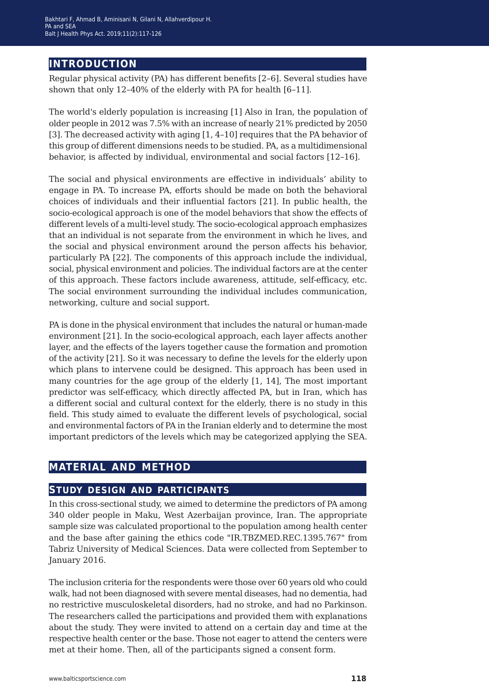# **introduction**

Regular physical activity (PA) has different benefits [2–6]. Several studies have shown that only 12–40% of the elderly with PA for health [6–11].

The world's elderly population is increasing [1] Also in Iran, the population of older people in 2012 was 7.5% with an increase of nearly 21% predicted by 2050 [3]. The decreased activity with aging [1, 4–10] requires that the PA behavior of this group of different dimensions needs to be studied. PA, as a multidimensional behavior, is affected by individual, environmental and social factors [12–16].

The social and physical environments are effective in individuals' ability to engage in PA. To increase PA, efforts should be made on both the behavioral choices of individuals and their influential factors [21]. In public health, the socio-ecological approach is one of the model behaviors that show the effects of different levels of a multi-level study. The socio-ecological approach emphasizes that an individual is not separate from the environment in which he lives, and the social and physical environment around the person affects his behavior, particularly PA [22]. The components of this approach include the individual, social, physical environment and policies. The individual factors are at the center of this approach. These factors include awareness, attitude, self-efficacy, etc. The social environment surrounding the individual includes communication, networking, culture and social support.

PA is done in the physical environment that includes the natural or human-made environment [21]. In the socio-ecological approach, each layer affects another layer, and the effects of the layers together cause the formation and promotion of the activity [21]. So it was necessary to define the levels for the elderly upon which plans to intervene could be designed. This approach has been used in many countries for the age group of the elderly [1, 14], The most important predictor was self-efficacy, which directly affected PA, but in Iran, which has a different social and cultural context for the elderly, there is no study in this field. This study aimed to evaluate the different levels of psychological, social and environmental factors of PA in the Iranian elderly and to determine the most important predictors of the levels which may be categorized applying the SEA.

# **material and method**

### **study design and participants**

In this cross-sectional study, we aimed to determine the predictors of PA among 340 older people in Maku, West Azerbaijan province, Iran. The appropriate sample size was calculated proportional to the population among health center and the base after gaining the ethics code "IR.TBZMED.REC.1395.767" from Tabriz University of Medical Sciences. Data were collected from September to January 2016.

The inclusion criteria for the respondents were those over 60 years old who could walk, had not been diagnosed with severe mental diseases, had no dementia, had no restrictive musculoskeletal disorders, had no stroke, and had no Parkinson. The researchers called the participations and provided them with explanations about the study. They were invited to attend on a certain day and time at the respective health center or the base. Those not eager to attend the centers were met at their home. Then, all of the participants signed a consent form.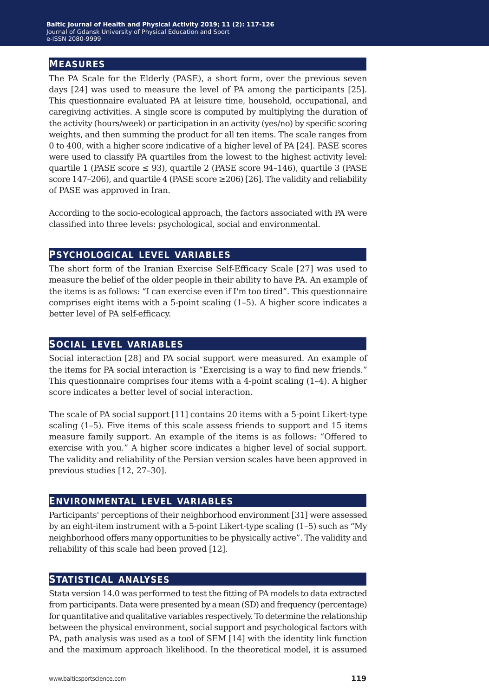# **measures**

The PA Scale for the Elderly (PASE), a short form, over the previous seven days [24] was used to measure the level of PA among the participants [25]. This questionnaire evaluated PA at leisure time, household, occupational, and caregiving activities. A single score is computed by multiplying the duration of the activity (hours/week) or participation in an activity (yes/no) by specific scoring weights, and then summing the product for all ten items. The scale ranges from 0 to 400, with a higher score indicative of a higher level of PA [24]. PASE scores were used to classify PA quartiles from the lowest to the highest activity level: quartile 1 (PASE score  $\leq$  93), quartile 2 (PASE score 94–146), quartile 3 (PASE score  $147-206$ ), and quartile 4 (PASE score  $\geq 206$ ) [26]. The validity and reliability of PASE was approved in Iran.

According to the socio-ecological approach, the factors associated with PA were classified into three levels: psychological, social and environmental.

#### **psychological level variables**

The short form of the Iranian Exercise Self-Efficacy Scale [27] was used to measure the belief of the older people in their ability to have PA. An example of the items is as follows: "I can exercise even if I'm too tired". This questionnaire comprises eight items with a 5-point scaling (1–5). A higher score indicates a better level of PA self-efficacy.

## **social level variables**

Social interaction [28] and PA social support were measured. An example of the items for PA social interaction is "Exercising is a way to find new friends." This questionnaire comprises four items with a 4-point scaling (1–4). A higher score indicates a better level of social interaction.

The scale of PA social support [11] contains 20 items with a 5-point Likert-type scaling (1–5). Five items of this scale assess friends to support and 15 items measure family support. An example of the items is as follows: "Offered to exercise with you." A higher score indicates a higher level of social support. The validity and reliability of the Persian version scales have been approved in previous studies [12, 27–30].

#### **environmental level variables**

Participants' perceptions of their neighborhood environment [31] were assessed by an eight-item instrument with a 5-point Likert-type scaling (1–5) such as "My neighborhood offers many opportunities to be physically active". The validity and reliability of this scale had been proved [12].

#### **statistical analyses**

Stata version 14.0 was performed to test the fitting of PA models to data extracted from participants. Data were presented by a mean (SD) and frequency (percentage) for quantitative and qualitative variables respectively. To determine the relationship between the physical environment, social support and psychological factors with PA, path analysis was used as a tool of SEM [14] with the identity link function and the maximum approach likelihood. In the theoretical model, it is assumed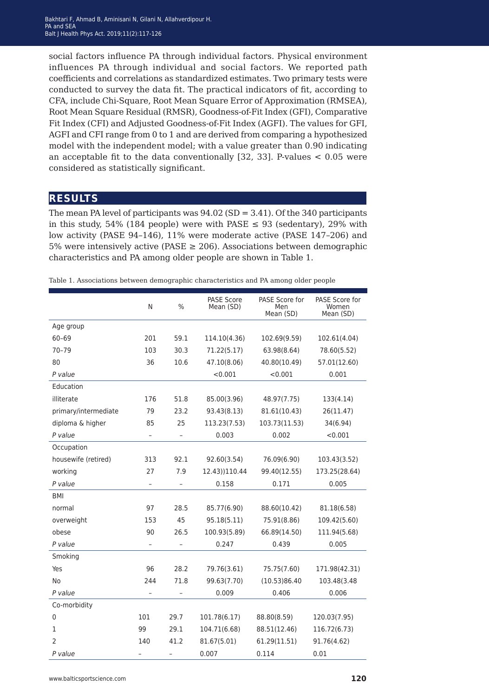social factors influence PA through individual factors. Physical environment influences PA through individual and social factors. We reported path coefficients and correlations as standardized estimates. Two primary tests were conducted to survey the data fit. The practical indicators of fit, according to CFA, include Chi-Square, Root Mean Square Error of Approximation (RMSEA), Root Mean Square Residual (RMSR), Goodness-of-Fit Index (GFI), Comparative Fit Index (CFI) and Adjusted Goodness-of-Fit Index (AGFI). The values for GFI, AGFI and CFI range from 0 to 1 and are derived from comparing a hypothesized model with the independent model; with a value greater than 0.90 indicating an acceptable fit to the data conventionally  $[32, 33]$ . P-values  $\lt 0.05$  were considered as statistically significant.

### **results**

The mean PA level of participants was  $94.02$  (SD = 3.41). Of the 340 participants in this study, 54% (184 people) were with PASE  $\leq$  93 (sedentary), 29% with low activity (PASE 94–146), 11% were moderate active (PASE 147–206) and 5% were intensively active (PASE  $\geq$  206). Associations between demographic characteristics and PA among older people are shown in Table 1.

|                      | N              | $\%$           | <b>PASE Score</b><br>Mean (SD) | PASE Score for<br>Men<br>Mean (SD) | PASE Score for<br>Women<br>Mean (SD) |
|----------------------|----------------|----------------|--------------------------------|------------------------------------|--------------------------------------|
| Age group            |                |                |                                |                                    |                                      |
| 60-69                | 201            | 59.1           | 114.10(4.36)                   | 102.69(9.59)                       | 102.61(4.04)                         |
| $70 - 79$            | 103            | 30.3           | 71.22(5.17)                    | 63.98(8.64)                        | 78.60(5.52)                          |
| 80                   | 36             | 10.6           | 47.10(8.06)                    | 40.80(10.49)                       | 57.01(12.60)                         |
| P value              |                |                | < 0.001                        | < 0.001                            | 0.001                                |
| Education            |                |                |                                |                                    |                                      |
| illiterate           | 176            | 51.8           | 85.00(3.96)                    | 48.97(7.75)                        | 133(4.14)                            |
| primary/intermediate | 79             | 23.2           | 93.43(8.13)                    | 81.61(10.43)                       | 26(11.47)                            |
| diploma & higher     | 85             | 25             | 113.23(7.53)                   | 103.73(11.53)                      | 34(6.94)                             |
| P value              | $\overline{a}$ | $\overline{a}$ | 0.003                          | 0.002                              | < 0.001                              |
| Occupation           |                |                |                                |                                    |                                      |
| housewife (retired)  | 313            | 92.1           | 92.60(3.54)                    | 76.09(6.90)                        | 103.43(3.52)                         |
| working              | 27             | 7.9            | 12.43))110.44                  | 99.40(12.55)                       | 173.25(28.64)                        |
| P value              | ÷.             | ÷              | 0.158                          | 0.171                              | 0.005                                |
| <b>BMI</b>           |                |                |                                |                                    |                                      |
| normal               | 97             | 28.5           | 85.77(6.90)                    | 88.60(10.42)                       | 81.18(6.58)                          |
| overweight           | 153            | 45             | 95.18(5.11)                    | 75.91(8.86)                        | 109.42(5.60)                         |
| obese                | 90             | 26.5           | 100.93(5.89)                   | 66.89(14.50)                       | 111.94(5.68)                         |
| P value              | L.             |                | 0.247                          | 0.439                              | 0.005                                |
| Smoking              |                |                |                                |                                    |                                      |
| Yes                  | 96             | 28.2           | 79.76(3.61)                    | 75.75(7.60)                        | 171.98(42.31)                        |
| <b>No</b>            | 244            | 71.8           | 99.63(7.70)                    | (10.53)86.40                       | 103.48(3.48)                         |
| P value              |                |                | 0.009                          | 0.406                              | 0.006                                |
| Co-morbidity         |                |                |                                |                                    |                                      |
| 0                    | 101            | 29.7           | 101.78(6.17)                   | 88.80(8.59)                        | 120.03(7.95)                         |
| 1                    | 99             | 29.1           | 104.71(6.68)                   | 88.51(12.46)                       | 116.72(6.73)                         |
| $\overline{2}$       | 140            | 41.2           | 81.67(5.01)                    | 61.29(11.51)                       | 91.76(4.62)                          |
| P value              |                |                | 0.007                          | 0.114                              | 0.01                                 |

Table 1. Associations between demographic characteristics and PA among older people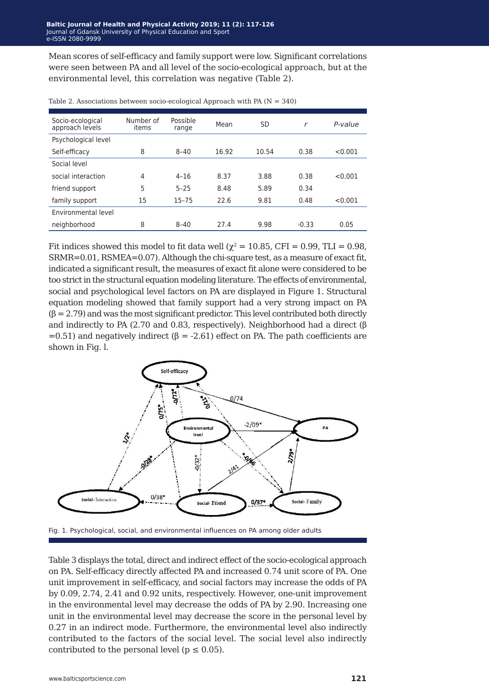Mean scores of self-efficacy and family support were low. Significant correlations were seen between PA and all level of the socio-ecological approach, but at the environmental level, this correlation was negative (Table 2).

| Socio-ecological<br>approach levels | Number of<br>items | Possible<br>range | Mean  | SD    | r       | P-value |
|-------------------------------------|--------------------|-------------------|-------|-------|---------|---------|
| Psychological level                 |                    |                   |       |       |         |         |
| Self-efficacy                       | 8                  | $8 - 40$          | 16.92 | 10.54 | 0.38    | < 0.001 |
| Social level                        |                    |                   |       |       |         |         |
| social interaction                  | 4                  | $4 - 16$          | 8.37  | 3.88  | 0.38    | < 0.001 |
| friend support                      | 5                  | $5 - 25$          | 8.48  | 5.89  | 0.34    |         |
| family support                      | 15                 | $15 - 75$         | 22.6  | 9.81  | 0.48    | < 0.001 |
| Environmental level                 |                    |                   |       |       |         |         |
| neighborhood                        | 8                  | $8 - 40$          | 27.4  | 9.98  | $-0.33$ | 0.05    |

Table 2. Associations between socio-ecological Approach with PA  $(N = 340)$ 

Fit indices showed this model to fit data well ( $\chi^2 = 10.85$ , CFI = 0.99, TLI = 0.98, SRMR=0.01, RSMEA=0.07). Although the chi-square test, as a measure of exact fit, indicated a significant result, the measures of exact fit alone were considered to be too strict in the structural equation modeling literature. The effects of environmental, social and psychological level factors on PA are displayed in Figure 1. Structural equation modeling showed that family support had a very strong impact on PA  $(\beta = 2.79)$  and was the most significant predictor. This level contributed both directly and indirectly to PA (2.70 and 0.83, respectively). Neighborhood had a direct (β =0.51) and negatively indirect ( $\beta$  = -2.61) effect on PA. The path coefficients are shown in Fig. l.



Fig. 1. Psychological, social, and environmental influences on PA among older adults

Table 3 displays the total, direct and indirect effect of the socio-ecological approach on PA. Self-efficacy directly affected PA and increased 0.74 unit score of PA. One unit improvement in self-efficacy, and social factors may increase the odds of PA by 0.09, 2.74, 2.41 and 0.92 units, respectively. However, one-unit improvement in the environmental level may decrease the odds of PA by 2.90. Increasing one unit in the environmental level may decrease the score in the personal level by 0.27 in an indirect mode. Furthermore, the environmental level also indirectly contributed to the factors of the social level. The social level also indirectly contributed to the personal level ( $p \le 0.05$ ).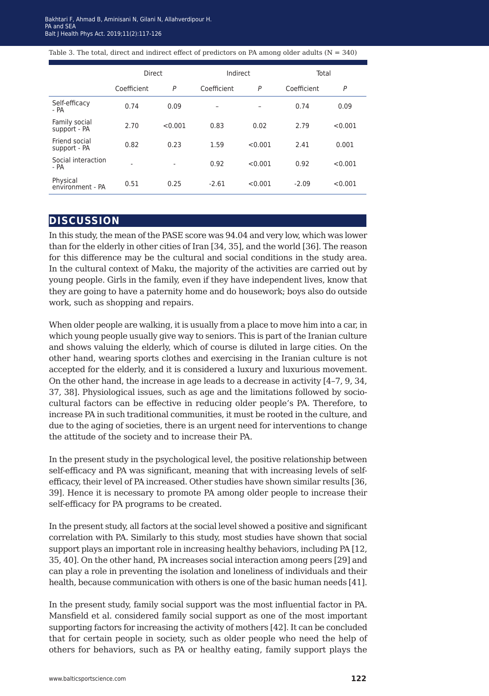Table 3. The total, direct and indirect effect of predictors on PA among older adults  $(N = 340)$ 

|                               | <b>Direct</b> |         | Indirect    |         | Total       |         |
|-------------------------------|---------------|---------|-------------|---------|-------------|---------|
|                               | Coefficient   | P       | Coefficient | P       | Coefficient | P       |
| Self-efficacy<br>$- PA$       | 0.74          | 0.09    | -           |         | 0.74        | 0.09    |
| Family social<br>support - PA | 2.70          | < 0.001 | 0.83        | 0.02    | 2.79        | < 0.001 |
| Friend social<br>support - PA | 0.82          | 0.23    | 1.59        | < 0.001 | 2.41        | 0.001   |
| Social interaction<br>$- PA$  | ٠             | ۰       | 0.92        | < 0.001 | 0.92        | < 0.001 |
| Physical<br>environment - PA  | 0.51          | 0.25    | $-2.61$     | < 0.001 | $-2.09$     | < 0.001 |

#### **discussion**

In this study, the mean of the PASE score was 94.04 and very low, which was lower than for the elderly in other cities of Iran [34, 35], and the world [36]. The reason for this difference may be the cultural and social conditions in the study area. In the cultural context of Maku, the majority of the activities are carried out by young people. Girls in the family, even if they have independent lives, know that they are going to have a paternity home and do housework; boys also do outside work, such as shopping and repairs.

When older people are walking, it is usually from a place to move him into a car, in which young people usually give way to seniors. This is part of the Iranian culture and shows valuing the elderly, which of course is diluted in large cities. On the other hand, wearing sports clothes and exercising in the Iranian culture is not accepted for the elderly, and it is considered a luxury and luxurious movement. On the other hand, the increase in age leads to a decrease in activity [4–7, 9, 34, 37, 38]. Physiological issues, such as age and the limitations followed by sociocultural factors can be effective in reducing older people's PA. Therefore, to increase PA in such traditional communities, it must be rooted in the culture, and due to the aging of societies, there is an urgent need for interventions to change the attitude of the society and to increase their PA.

In the present study in the psychological level, the positive relationship between self-efficacy and PA was significant, meaning that with increasing levels of selfefficacy, their level of PA increased. Other studies have shown similar results [36, 39]. Hence it is necessary to promote PA among older people to increase their self-efficacy for PA programs to be created.

In the present study, all factors at the social level showed a positive and significant correlation with PA. Similarly to this study, most studies have shown that social support plays an important role in increasing healthy behaviors, including PA [12, 35, 40]. On the other hand, PA increases social interaction among peers [29] and can play a role in preventing the isolation and loneliness of individuals and their health, because communication with others is one of the basic human needs [41].

In the present study, family social support was the most influential factor in PA. Mansfield et al. considered family social support as one of the most important supporting factors for increasing the activity of mothers [42]. It can be concluded that for certain people in society, such as older people who need the help of others for behaviors, such as PA or healthy eating, family support plays the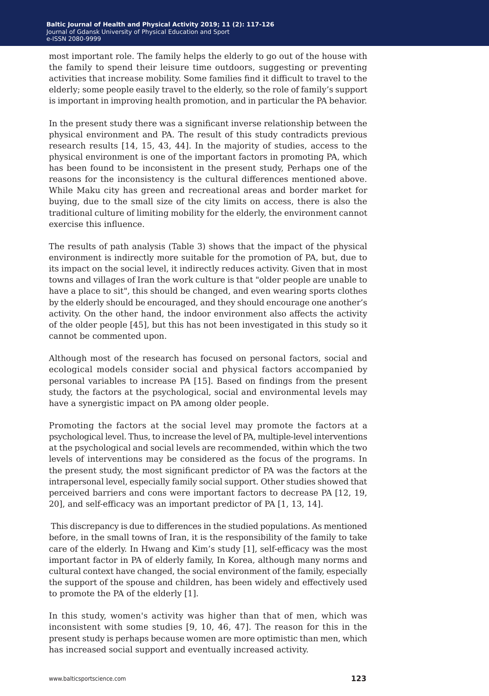most important role. The family helps the elderly to go out of the house with the family to spend their leisure time outdoors, suggesting or preventing activities that increase mobility. Some families find it difficult to travel to the elderly; some people easily travel to the elderly, so the role of family's support is important in improving health promotion, and in particular the PA behavior.

In the present study there was a significant inverse relationship between the physical environment and PA. The result of this study contradicts previous research results [14, 15, 43, 44]. In the majority of studies, access to the physical environment is one of the important factors in promoting PA, which has been found to be inconsistent in the present study, Perhaps one of the reasons for the inconsistency is the cultural differences mentioned above. While Maku city has green and recreational areas and border market for buying, due to the small size of the city limits on access, there is also the traditional culture of limiting mobility for the elderly, the environment cannot exercise this influence.

The results of path analysis (Table 3) shows that the impact of the physical environment is indirectly more suitable for the promotion of PA, but, due to its impact on the social level, it indirectly reduces activity. Given that in most towns and villages of Iran the work culture is that "older people are unable to have a place to sit", this should be changed, and even wearing sports clothes by the elderly should be encouraged, and they should encourage one another's activity. On the other hand, the indoor environment also affects the activity of the older people [45], but this has not been investigated in this study so it cannot be commented upon.

Although most of the research has focused on personal factors, social and ecological models consider social and physical factors accompanied by personal variables to increase PA [15]. Based on findings from the present study, the factors at the psychological, social and environmental levels may have a synergistic impact on PA among older people.

Promoting the factors at the social level may promote the factors at a psychological level. Thus, to increase the level of PA, multiple-level interventions at the psychological and social levels are recommended, within which the two levels of interventions may be considered as the focus of the programs. In the present study, the most significant predictor of PA was the factors at the intrapersonal level, especially family social support. Other studies showed that perceived barriers and cons were important factors to decrease PA [12, 19, 20], and self-efficacy was an important predictor of PA [1, 13, 14].

 This discrepancy is due to differences in the studied populations. As mentioned before, in the small towns of Iran, it is the responsibility of the family to take care of the elderly. In Hwang and Kim's study [1], self-efficacy was the most important factor in PA of elderly family, In Korea, although many norms and cultural context have changed, the social environment of the family, especially the support of the spouse and children, has been widely and effectively used to promote the PA of the elderly [1].

In this study, women's activity was higher than that of men, which was inconsistent with some studies [9, 10, 46, 47]. The reason for this in the present study is perhaps because women are more optimistic than men, which has increased social support and eventually increased activity.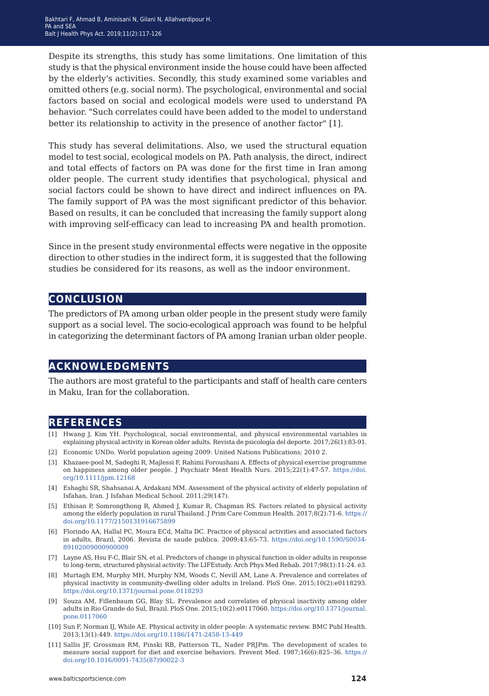Despite its strengths, this study has some limitations. One limitation of this study is that the physical environment inside the house could have been affected by the elderly's activities. Secondly, this study examined some variables and omitted others (e.g. social norm). The psychological, environmental and social factors based on social and ecological models were used to understand PA behavior. "Such correlates could have been added to the model to understand better its relationship to activity in the presence of another factor" [1].

This study has several delimitations. Also, we used the structural equation model to test social, ecological models on PA. Path analysis, the direct, indirect and total effects of factors on PA was done for the first time in Iran among older people. The current study identifies that psychological, physical and social factors could be shown to have direct and indirect influences on PA. The family support of PA was the most significant predictor of this behavior. Based on results, it can be concluded that increasing the family support along with improving self-efficacy can lead to increasing PA and health promotion.

Since in the present study environmental effects were negative in the opposite direction to other studies in the indirect form, it is suggested that the following studies be considered for its reasons, as well as the indoor environment.

#### **conclusion**

The predictors of PA among urban older people in the present study were family support as a social level. The socio-ecological approach was found to be helpful in categorizing the determinant factors of PA among Iranian urban older people.

### **acknowledgments**

The authors are most grateful to the participants and staff of health care centers in Maku, Iran for the collaboration.

### **references**

- [1] Hwang J, Kim YH. Psychological, social environmental, and physical environmental variables in explaining physical activity in Korean older adults. Revista de psicología del deporte. 2017;26(1):83-91.
- [2] Economic UNDo. World population ageing 2009: United Nations Publications; 2010 2.
- [3] Khazaee‐pool M, Sadeghi R, Majlessi F, Rahimi Foroushani A. Effects of physical exercise programme on happiness among older people. J Psychiatr Ment Health Nurs. 2015;22(1):47-57. [https://doi.](https://doi.org/10.1111/jpm.12168) [org/10.1111/jpm.12168](https://doi.org/10.1111/jpm.12168)
- [4] Eshaghi SR, Shahsanai A, Ardakani MM. Assessment of the physical activity of elderly population of Isfahan, Iran. J Isfahan Medical School. 2011;29(147).
- [5] Ethisan P, Somrongthong R, Ahmed J, Kumar R, Chapman RS. Factors related to physical activity among the elderly population in rural Thailand. J Prim Care Commun Health. 2017;8(2):71-6. [https://](https://doi.org/10.1177/2150131916675899) [doi.org/10.1177/2150131916675899](https://doi.org/10.1177/2150131916675899)
- [6] Florindo AA, Hallal PC, Moura ECd, Malta DC. Practice of physical activities and associated factors in adults, Brazil, 2006. Revista de saude publica. 2009;43:65-73. [https://doi.org/10.1590/S0034-](https://doi.org/10.1590/S0034-89102009000900009) [89102009000900009](https://doi.org/10.1590/S0034-89102009000900009)
- [7] Layne AS, Hsu F-C, Blair SN, et al. Predictors of change in physical function in older adults in response to long-term, structured physical activity: The LIFEstudy. Arch Phys Med Rehab. 2017;98(1):11-24. e3.
- [8] Murtagh EM, Murphy MH, Murphy NM, Woods C, Nevill AM, Lane A. Prevalence and correlates of physical inactivity in community-dwelling older adults in Ireland. PloS One. 2015;10(2):e0118293. <https://doi.org/10.1371/journal.pone.0118293>
- [9] Souza AM, Fillenbaum GG, Blay SL. Prevalence and correlates of physical inactivity among older adults in Rio Grande do Sul, Brazil. PloS One. 2015;10(2):e0117060. [https://doi.org/10.1371/journal.](https://doi.org/10.1371/journal.pone.0117060
) [pone.0117060](https://doi.org/10.1371/journal.pone.0117060
)
- [10] Sun F, Norman IJ, While AE. Physical activity in older people: A systematic review. BMC Publ Health. 2013;13(1):449.<https://doi.org/10.1186/1471-2458-13-449>
- [11] Sallis JF, Grossman RM, Pinski RB, Patterson TL, Nader PRJPm. The development of scales to measure social support for diet and exercise behaviors. Prevent Med. 1987;16(6):825–36. [https://](https://doi.org/10.1016/0091-7435(87)90022-3) [doi.org/10.1016/0091-7435\(87\)90022-3](https://doi.org/10.1016/0091-7435(87)90022-3)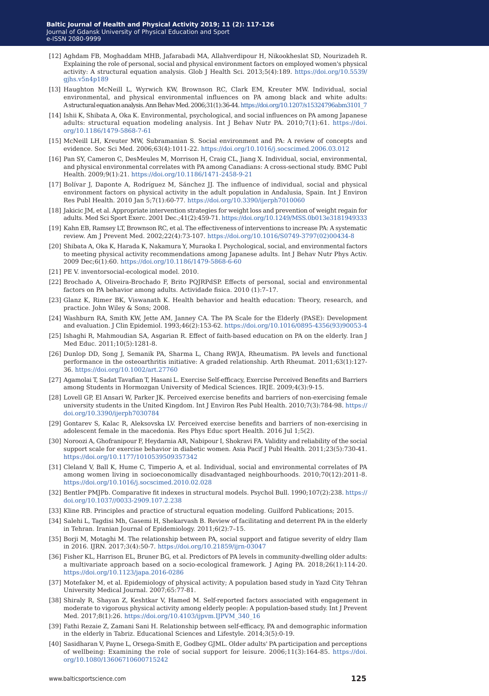- [12] Aghdam FB, Moghaddam MHB, Jafarabadi MA, Allahverdipour H, Nikookheslat SD, Nourizadeh R. Explaining the role of personal, social and physical environment factors on employed women's physical activity: A structural equation analysis. Glob J Health Sci. 2013;5(4):189. [https://doi.org/10.5539/](https://doi.org/10.5539/gjhs.v5n4p189)  $mhs. v5n4n189$
- [13] Haughton McNeill L, Wyrwich KW, Brownson RC, Clark EM, Kreuter MW. Individual, social environmental, and physical environmental influences on PA among black and white adults: A structural equation analysis. Ann Behav Med. 2006;31(1):36-44. [https://doi.org/10.1207/s15324796abm3101\\_7](https://doi.org/10.1207/s15324796abm3101_7
)
- [14] Ishii K, Shibata A, Oka K. Environmental, psychological, and social influences on PA among Japanese adults: structural equation modeling analysis. Int J Behav Nutr PA. 2010;7(1):61. [https://doi.](https://doi.org/10.1186/1479-5868-7-61) [org/10.1186/1479-5868-7-61](https://doi.org/10.1186/1479-5868-7-61)
- [15] McNeill LH, Kreuter MW, Subramanian S. Social environment and PA: A review of concepts and evidence. Soc Sci Med. 2006;63(4):1011-22.<https://doi.org/10.1016/j.socscimed.2006.03.012>
- [16] Pan SY, Cameron C, DesMeules M, Morrison H, Craig CL, Jiang X. Individual, social, environmental, and physical environmental correlates with PA among Canadians: A cross-sectional study. BMC Publ Health. 2009;9(1):21.<https://doi.org/10.1186/1471-2458-9-21>
- [17] Bolívar J, Daponte A, Rodríguez M, Sánchez JJ. The influence of individual, social and physical environment factors on physical activity in the adult population in Andalusia, Spain. Int J Environ Res Publ Health. 2010 Jan 5;7(1):60-77.<https://doi.org/10.3390/ijerph7010060>
- [18] Jakicic JM, et al. Appropriate intervention strategies for weight loss and prevention of weight regain for adults. Med Sci Sport Exerc. 2001 Dec.;41(2):459-71.<https://doi.org/10.1249/MSS.0b013e3181949333>
- [19] Kahn EB, Ramsey LT, Brownson RC, et al. The effectiveness of interventions to increase PA: A systematic review. Am J Prevent Med. 2002;22(4):73-107. [https://doi.org/10.1016/S0749-3797\(02\)00434-8](https://doi.org/10.1016/S0749-3797(02)00434-8)
- [20] Shibata A, Oka K, Harada K, Nakamura Y, Muraoka I. Psychological, social, and environmental factors to meeting physical activity recommendations among Japanese adults. Int J Behav Nutr Phys Activ. 2009 Dec;6(1):60. <https://doi.org/10.1186/1479-5868-6-60>
- [21] PE V. inventorsocial-ecological model. 2010.
- [22] Brochado A, Oliveira-Brochado F, Brito PQJRPdSP. Effects of personal, social and environmental factors on PA behavior among adults. Actividade fisica. 2010 (1):7–17.
- [23] Glanz K, Rimer BK, Viswanath K. Health behavior and health education: Theory, research, and practice. John Wiley & Sons; 2008.
- [24] Washburn RA, Smith KW, Jette AM, Janney CA. The PA Scale for the Elderly (PASE): Development and evaluation. J Clin Epidemiol. 1993;46(2):153-62. [https://doi.org/10.1016/0895-4356\(93\)90053-4](https://doi.org/10.1016/0895-4356(93)90053-4)
- [25] Ishaghi R, Mahmoudian SA, Asgarian R. Effect of faith-based education on PA on the elderly. Iran J Med Educ. 2011;10(5):1281-8.
- [26] Dunlop DD, Song J, Semanik PA, Sharma L, Chang RWJA, Rheumatism. PA levels and functional performance in the osteoarthritis initiative: A graded relationship. Arth Rheumat. 2011;63(1):127- 36. [https://doi.org/10.1002/art.27760]( https://doi.org/10.1002/art.27760
)
- [27] Agamolai T, Sadat Tavafian T, Hasani L. Exercise Self-efficacy, Exercise Perceived Benefits and Barriers among Students in Hormozgan University of Medical Sciences. IRJE. 2009;4(3):9-15.
- [28] Lovell GP, El Ansari W, Parker JK. Perceived exercise benefits and barriers of non-exercising female university students in the United Kingdom. Int J Environ Res Publ Health. 2010;7(3):784-98. [https://](https://doi.org/10.3390/ijerph7030784) [doi.org/10.3390/ijerph7030784](https://doi.org/10.3390/ijerph7030784)
- [29] Gontarev S, Kalac R, Aleksovska LV. Perceived exercise benefits and barriers of non-exercising in adolescent female in the macedonia. Res Phys Educ sport Health. 2016 Jul 1;5(2).
- [30] Noroozi A, Ghofranipour F, Heydarnia AR, Nabipour I, Shokravi FA. Validity and reliability of the social support scale for exercise behavior in diabetic women. Asia Pacif J Publ Health. 2011;23(5):730-41. <https://doi.org/10.1177/1010539509357342>
- [31] Cleland V, Ball K, Hume C, Timperio A, et al. Individual, social and environmental correlates of PA among women living in socioeconomically disadvantaged neighbourhoods. 2010;70(12):2011-8. <https://doi.org/10.1016/j.socscimed.2010.02.028>
- [32] Bentler PMJPb. Comparative fit indexes in structural models. Psychol Bull. 1990;107(2):238. [https://](https://doi.org/10.1037//0033-2909.107.2.238) [doi.org/10.1037//0033-2909.107.2.238](https://doi.org/10.1037//0033-2909.107.2.238)
- [33] Kline RB. Principles and practice of structural equation modeling. Guilford Publications; 2015.
- [34] Salehi L, Tagdisi Mh, Gasemi H, Shekarvash B. Review of facilitating and deterrent PA in the elderly in Tehran. Iranian Journal of Epidemiology. 2011;6(2):7–15.
- [35] Borji M, Motaghi M. The relationship between PA, social support and fatigue severity of eldry Ilam in 2016. IJRN. 2017;3(4):50-7. <https://doi.org/10.21859/ijrn-03047>
- [36] Fisher KL, Harrison EL, Bruner BG, et al. Predictors of PA levels in community-dwelling older adults: a multivariate approach based on a socio-ecological framework. J Aging PA. 2018;26(1):114-20. <https://doi.org/10.1123/japa.2016-0286>
- [37] Motefaker M, et al. Epidemiology of physical activity; A population based study in Yazd City Tehran University Medical Journal. 2007;65:77-81.
- [38] Shiraly R, Shayan Z, Keshtkar V, Hamed M. Self-reported factors associated with engagement in moderate to vigorous physical activity among elderly people: A population‑based study. Int J Prevent Med. 2017;8(1):26. [https://doi.org/10.4103/ijpvm.IJPVM\\_340\\_16](https://doi.org/10.4103/ijpvm.IJPVM_340_16)
- [39] Fathi Rezaie Z, Zamani Sani H. Relationship between self-efficacy, PA and demographic information in the elderly in Tabriz. Educational Sciences and Lifestyle. 2014;3(5):0-19.
- [40] Sasidharan V, Payne L, Orsega-Smith E, Godbey GJML. Older adults' PA participation and perceptions of wellbeing: Examining the role of social support for leisure. 2006;11(3):164-85. [https://doi.](https://doi.org/10.1080/13606710600715242) [org/10.1080/13606710600715242](https://doi.org/10.1080/13606710600715242)